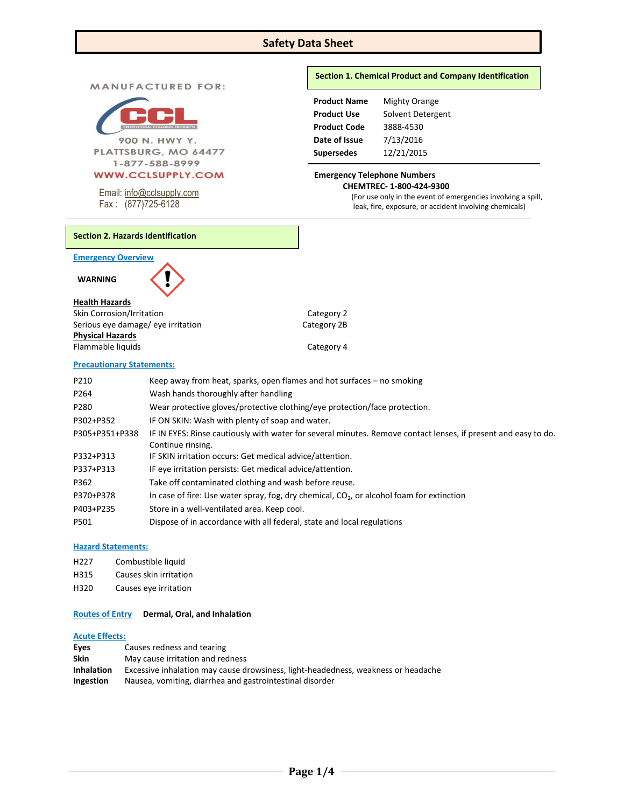# **Safety Data Sheet**

**MANUFACTURED FOR:** 



900 N. HWY Y. PLATTSBURG, MO 64477 1-877-588-8999

Email[: info@cclsupply.com](mailto:info@cclsupply.com)

Fax : (877)725-6128

## **Section 1. Chemical Product and Company Identification**

**Product Name** Mighty Orange **Product Use** Solvent Detergent **Product Code** 3888-4530 **Date of Issue** 7/13/2016 **Supersedes** 12/21/2015

## **Emergency Telephone Numbers CHEMTREC- 1-800-424-9300**

(For use only in the event of emergencies involving a spill, leak, fire, exposure, or accident involving chemicals)

# **Section 2. Hazards Identification**

**Emergency Overview** 

 **WARNING** 

## **Health Hazards**

Skin Corrosion/Irritation Category 2 Serious eye damage/ eye irritation Category 2B **Physical Hazards** Flammable liquids **Category 4** 

## **Precautionary Statements:**

| P210           | Keep away from heat, sparks, open flames and hot surfaces $-$ no smoking                                       |
|----------------|----------------------------------------------------------------------------------------------------------------|
| P264           | Wash hands thoroughly after handling                                                                           |
| P280           | Wear protective gloves/protective clothing/eye protection/face protection.                                     |
| P302+P352      | IF ON SKIN: Wash with plenty of soap and water.                                                                |
| P305+P351+P338 | IF IN EYES: Rinse cautiously with water for several minutes. Remove contact lenses, if present and easy to do. |
|                | Continue rinsing.                                                                                              |
| P332+P313      | IF SKIN irritation occurs: Get medical advice/attention.                                                       |
| P337+P313      | IF eye irritation persists: Get medical advice/attention.                                                      |
| P362           | Take off contaminated clothing and wash before reuse.                                                          |
| P370+P378      | In case of fire: Use water spray, fog, dry chemical, $CO2$ , or alcohol foam for extinction                    |
| P403+P235      | Store in a well-ventilated area. Keep cool.                                                                    |
| P501           | Dispose of in accordance with all federal, state and local regulations                                         |

## **Hazard Statements:**

- H227 Combustible liquid
- H315 Causes skin irritation
- H320 Causes eye irritation

### **Routes of Entry Dermal, Oral, and Inhalation**

### **Acute Effects:**

| Eyes              | Causes redness and tearing                                                        |
|-------------------|-----------------------------------------------------------------------------------|
| <b>Skin</b>       | May cause irritation and redness                                                  |
| <b>Inhalation</b> | Excessive inhalation may cause drowsiness, light-headedness, weakness or headache |
| <b>Ingestion</b>  | Nausea, vomiting, diarrhea and gastrointestinal disorder                          |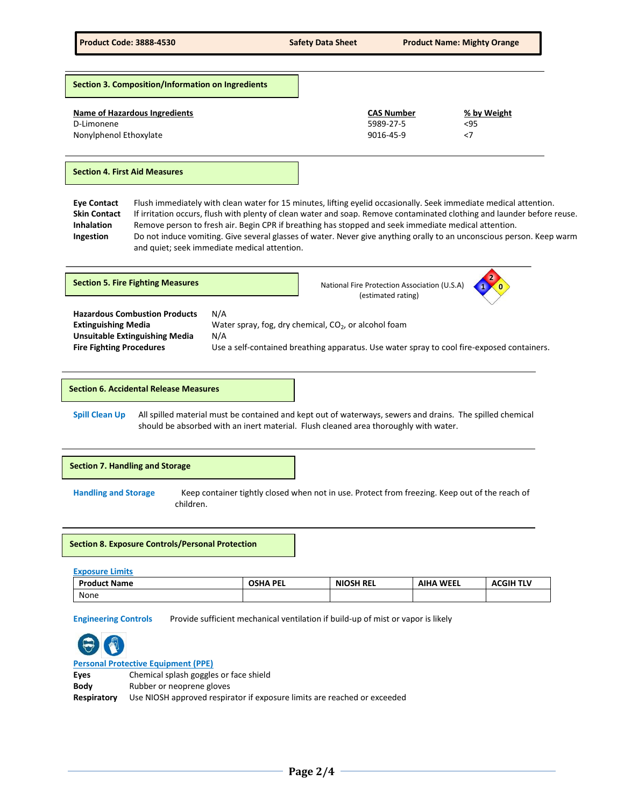| <b>CAS Number</b><br>5989-27-5<br>9016-45-9 | % by Weight<br>$95$<br>$<$ 7 |  |
|---------------------------------------------|------------------------------|--|
|                                             |                              |  |

#### **Section 4. First Aid Measures**

**Eye Contact** Flush immediately with clean water for 15 minutes, lifting eyelid occasionally. Seek immediate medical attention. **Skin Contact** If irritation occurs, flush with plenty of clean water and soap. Remove contaminated clothing and launder before reuse. **Inhalation** Remove person to fresh air. Begin CPR if breathing has stopped and seek immediate medical attention. **Ingestion** Do not induce vomiting. Give several glasses of water. Never give anything orally to an unconscious person. Keep warm and quiet; seek immediate medical attention.



**Section 6. Accidental Release Measures**

**Spill Clean Up** All spilled material must be contained and kept out of waterways, sewers and drains. The spilled chemical should be absorbed with an inert material. Flush cleaned area thoroughly with water.

#### **Section 7. Handling and Storage**

**Handling and Storage** Keep container tightly closed when not in use. Protect from freezing. Keep out of the reach of children.

**Section 8. Exposure Controls/Personal Protection**

| <b>Exposure Limits</b> |                 |                  |                  |                  |
|------------------------|-----------------|------------------|------------------|------------------|
| <b>Product Name</b>    | <b>OSHA PEL</b> | <b>NIOSH REL</b> | <b>AIHA WEEL</b> | <b>ACGIH TLV</b> |
| None                   |                 |                  |                  |                  |

**Engineering Controls** Provide sufficient mechanical ventilation if build-up of mist or vapor is likely



## **Personal Protective Equipment (PPE)**

| Eyes        | Chemical splash goggles or face shield                                   |
|-------------|--------------------------------------------------------------------------|
| <b>Body</b> | Rubber or neoprene gloves                                                |
| Respiratory | Use NIOSH approved respirator if exposure limits are reached or exceeded |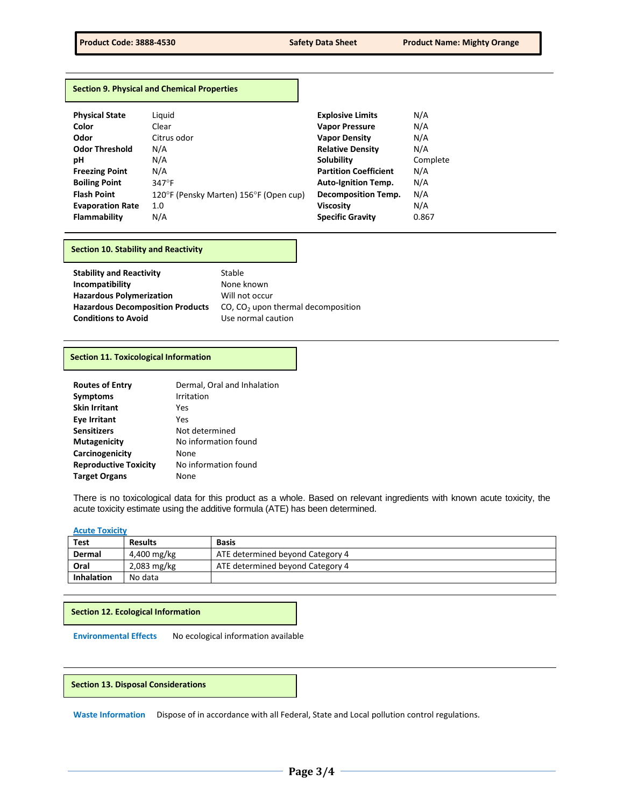| <b>Section 9. Physical and Chemical Properties</b> |  |  |  |
|----------------------------------------------------|--|--|--|
|----------------------------------------------------|--|--|--|

| <b>Physical State</b>   | Liguid                                 | <b>Explosive Limits</b>      | N/A      |
|-------------------------|----------------------------------------|------------------------------|----------|
| Color                   | Clear                                  | <b>Vapor Pressure</b>        | N/A      |
| Odor                    | Citrus odor                            | <b>Vapor Density</b>         | N/A      |
| <b>Odor Threshold</b>   | N/A                                    | <b>Relative Density</b>      | N/A      |
| рH                      | N/A                                    | Solubility                   | Complete |
| <b>Freezing Point</b>   | N/A                                    | <b>Partition Coefficient</b> | N/A      |
| <b>Boiling Point</b>    | $347^{\circ}$ F                        | <b>Auto-Ignition Temp.</b>   | N/A      |
| <b>Flash Point</b>      | 120°F (Pensky Marten) 156°F (Open cup) | <b>Decomposition Temp.</b>   | N/A      |
| <b>Evaporation Rate</b> | 1.0                                    | <b>Viscosity</b>             | N/A      |
| Flammability            | N/A                                    | <b>Specific Gravity</b>      | 0.867    |

#### **Section 10. Stability and Reactivity**

| <b>Stability and Reactivity</b>         |
|-----------------------------------------|
| Incompatibility                         |
| <b>Hazardous Polymerization</b>         |
| <b>Hazardous Decomposition Products</b> |
| <b>Conditions to Avoid</b>              |

**Stable None known Will not occur** CO, CO<sub>2</sub> upon thermal decomposition **Use normal caution** 

## **Section 11. Toxicological Information**

| <b>Routes of Entry</b>       | Dermal, Oral and Inhalation |
|------------------------------|-----------------------------|
| <b>Symptoms</b>              | Irritation                  |
| <b>Skin Irritant</b>         | Yes                         |
| <b>Eye Irritant</b>          | Yes                         |
| <b>Sensitizers</b>           | Not determined              |
| <b>Mutagenicity</b>          | No information found        |
| Carcinogenicity              | None                        |
| <b>Reproductive Toxicity</b> | No information found        |
| <b>Target Organs</b>         | None                        |

There is no toxicological data for this product as a whole. Based on relevant ingredients with known acute toxicity, the acute toxicity estimate using the additive formula (ATE) has been determined.

#### **Acute Toxicity**

| Test              | <b>Results</b> | <b>Basis</b>                     |
|-------------------|----------------|----------------------------------|
| Dermal            | 4,400 mg/kg    | ATE determined beyond Category 4 |
| Oral              | $2,083$ mg/kg  | ATE determined beyond Category 4 |
| <b>Inhalation</b> | No data        |                                  |

**Section 12. Ecological Information**

**Environmental Effects** No ecological information available

#### **Section 13. Disposal Considerations**

**Waste Information** Dispose of in accordance with all Federal, State and Local pollution control regulations.